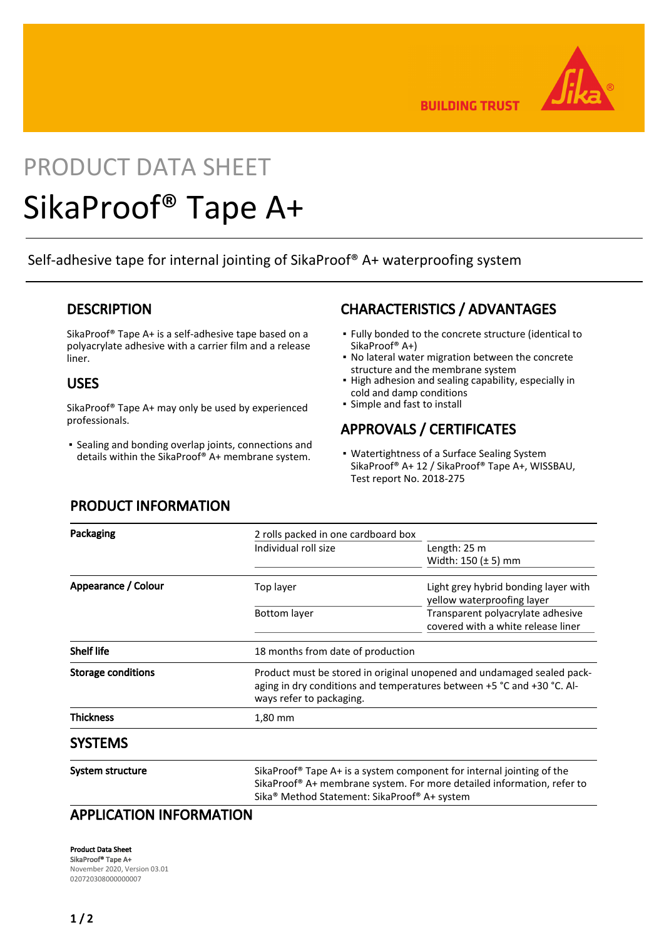

**BUILDING TRUST** 

# PRODUCT DATA SHEET

# SikaProof® Tape A+

Self-adhesive tape for internal jointing of SikaProof® A+ waterproofing system

### **DESCRIPTION**

SikaProof® Tape A+ is a self-adhesive tape based on a polyacrylate adhesive with a carrier film and a release liner.

### USES

SikaProof® Tape A+ may only be used by experienced professionals.

**·** Sealing and bonding overlap joints, connections and details within the SikaProof® A+ membrane system.

## CHARACTERISTICS / ADVANTAGES

- Fully bonded to the concrete structure (identical to SikaProof® A+)
- No lateral water migration between the concrete structure and the membrane system
- **.** High adhesion and sealing capability, especially in cold and damp conditions
- Simple and fast to install

## APPROVALS / CERTIFICATES

• Watertightness of a Surface Sealing System SikaProof® A+ 12 / SikaProof® Tape A+, WISSBAU, Test report No. 2018-275

| Packaging                 | 2 rolls packed in one cardboard box                                                                                                                                                                                                 |                                                                         |
|---------------------------|-------------------------------------------------------------------------------------------------------------------------------------------------------------------------------------------------------------------------------------|-------------------------------------------------------------------------|
|                           | Individual roll size                                                                                                                                                                                                                | Length: 25 m                                                            |
|                           |                                                                                                                                                                                                                                     | Width: $150 \left(\pm 5\right)$ mm                                      |
| Appearance / Colour       | Top layer                                                                                                                                                                                                                           | Light grey hybrid bonding layer with<br>yellow waterproofing layer      |
|                           | Bottom layer                                                                                                                                                                                                                        | Transparent polyacrylate adhesive<br>covered with a white release liner |
| <b>Shelf life</b>         | 18 months from date of production                                                                                                                                                                                                   |                                                                         |
| <b>Storage conditions</b> | Product must be stored in original unopened and undamaged sealed pack-<br>aging in dry conditions and temperatures between +5 °C and +30 °C. Al-<br>ways refer to packaging.                                                        |                                                                         |
| <b>Thickness</b>          | 1,80 mm                                                                                                                                                                                                                             |                                                                         |
| <b>SYSTEMS</b>            |                                                                                                                                                                                                                                     |                                                                         |
| <b>System structure</b>   | SikaProof® Tape A+ is a system component for internal jointing of the<br>SikaProof <sup>®</sup> A+ membrane system. For more detailed information, refer to<br>Sika <sup>®</sup> Method Statement: SikaProof <sup>®</sup> A+ system |                                                                         |

# PRODUCT INFORMATION

APPLICATION INFORMATION

Product Data Sheet SikaProof® Tape A+ November 2020, Version 03.01 020720308000000007